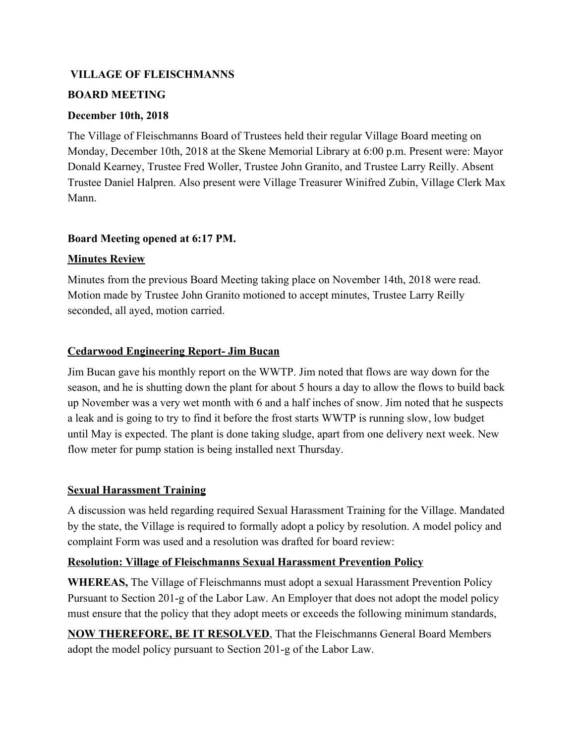## **VILLAGE OF FLEISCHMANNS**

### **BOARD MEETING**

### **December 10th, 2018**

The Village of Fleischmanns Board of Trustees held their regular Village Board meeting on Monday, December 10th, 2018 at the Skene Memorial Library at 6:00 p.m. Present were: Mayor Donald Kearney, Trustee Fred Woller, Trustee John Granito, and Trustee Larry Reilly. Absent Trustee Daniel Halpren. Also present were Village Treasurer Winifred Zubin, Village Clerk Max Mann.

### **Board Meeting opened at 6:17 PM.**

### **Minutes Review**

Minutes from the previous Board Meeting taking place on November 14th, 2018 were read. Motion made by Trustee John Granito motioned to accept minutes, Trustee Larry Reilly seconded, all ayed, motion carried.

## **Cedarwood Engineering Report- Jim Bucan**

Jim Bucan gave his monthly report on the WWTP. Jim noted that flows are way down for the season, and he is shutting down the plant for about 5 hours a day to allow the flows to build back up November was a very wet month with 6 and a half inches of snow. Jim noted that he suspects a leak and is going to try to find it before the frost starts WWTP is running slow, low budget until May is expected. The plant is done taking sludge, apart from one delivery next week. New flow meter for pump station is being installed next Thursday.

## **Sexual Harassment Training**

A discussion was held regarding required Sexual Harassment Training for the Village. Mandated by the state, the Village is required to formally adopt a policy by resolution. A model policy and complaint Form was used and a resolution was drafted for board review:

#### **Resolution: Village of Fleischmanns Sexual Harassment Prevention Policy**

**WHEREAS,** The Village of Fleischmanns must adopt a sexual Harassment Prevention Policy Pursuant to Section 201-g of the Labor Law. An Employer that does not adopt the model policy must ensure that the policy that they adopt meets or exceeds the following minimum standards,

**NOW THEREFORE, BE IT RESOLVED**, That the Fleischmanns General Board Members adopt the model policy pursuant to Section 201-g of the Labor Law.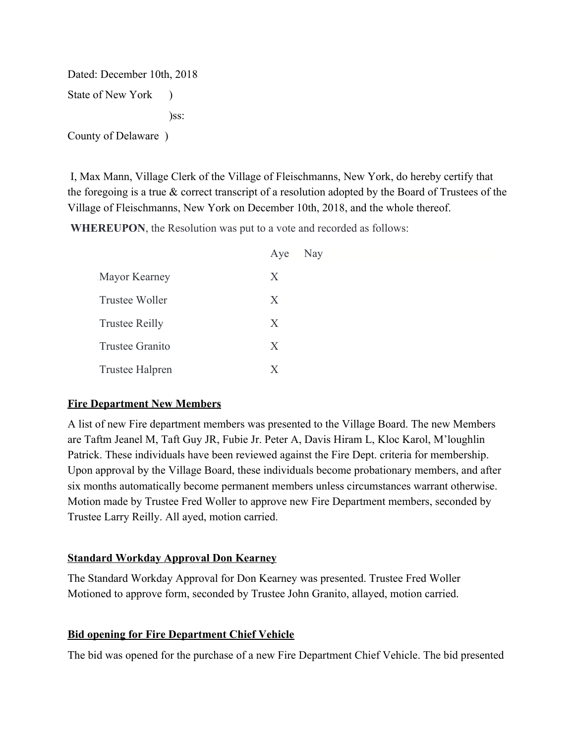Dated: December 10th, 2018 State of New York ) )ss: County of Delaware )

 I, Max Mann, Village Clerk of the Village of Fleischmanns, New York, do hereby certify that the foregoing is a true & correct transcript of a resolution adopted by the Board of Trustees of the Village of Fleischmanns, New York on December 10th, 2018, and the whole thereof.

**WHEREUPON**, the Resolution was put to a vote and recorded as follows:

|                       | Aye | Nay |
|-----------------------|-----|-----|
| Mayor Kearney         | X   |     |
| Trustee Woller        | X   |     |
| <b>Trustee Reilly</b> | X   |     |
| Trustee Granito       | X   |     |
| Trustee Halpren       | X   |     |

#### **Fire Department New Members**

A list of new Fire department members was presented to the Village Board. The new Members are Taftm Jeanel M, Taft Guy JR, Fubie Jr. Peter A, Davis Hiram L, Kloc Karol, M'loughlin Patrick. These individuals have been reviewed against the Fire Dept. criteria for membership. Upon approval by the Village Board, these individuals become probationary members, and after six months automatically become permanent members unless circumstances warrant otherwise. Motion made by Trustee Fred Woller to approve new Fire Department members, seconded by Trustee Larry Reilly. All ayed, motion carried.

## **Standard Workday Approval Don Kearney**

The Standard Workday Approval for Don Kearney was presented. Trustee Fred Woller Motioned to approve form, seconded by Trustee John Granito, allayed, motion carried.

## **Bid opening for Fire Department Chief Vehicle**

The bid was opened for the purchase of a new Fire Department Chief Vehicle. The bid presented